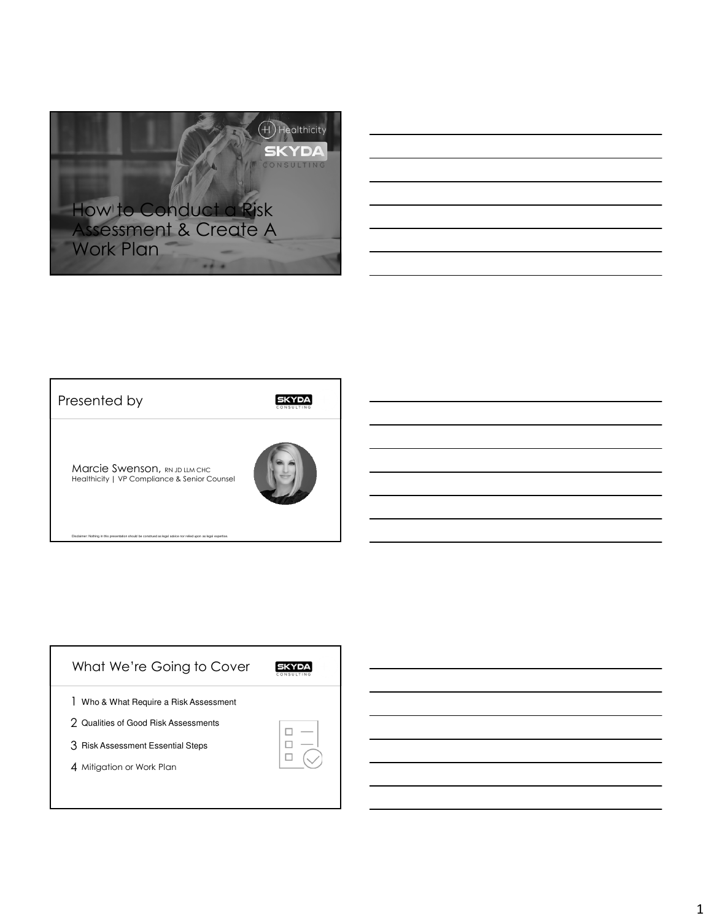

## Presented by

**SKYDA** 

**Marcie Swenson, RN JD LLM CHC** Healthicity | VP Compliance & Senior Counsel

: Nothing in this presentation should be construed as legal advice nor r



| What We're Going to Cover                 |  |
|-------------------------------------------|--|
| L<br>Who & What Require a Risk Assessment |  |
| 2 Qualities of Good Risk Assessments      |  |
| 3 Risk Assessment Essential Steps         |  |
| 4 Mitigation or Work Plan                 |  |
|                                           |  |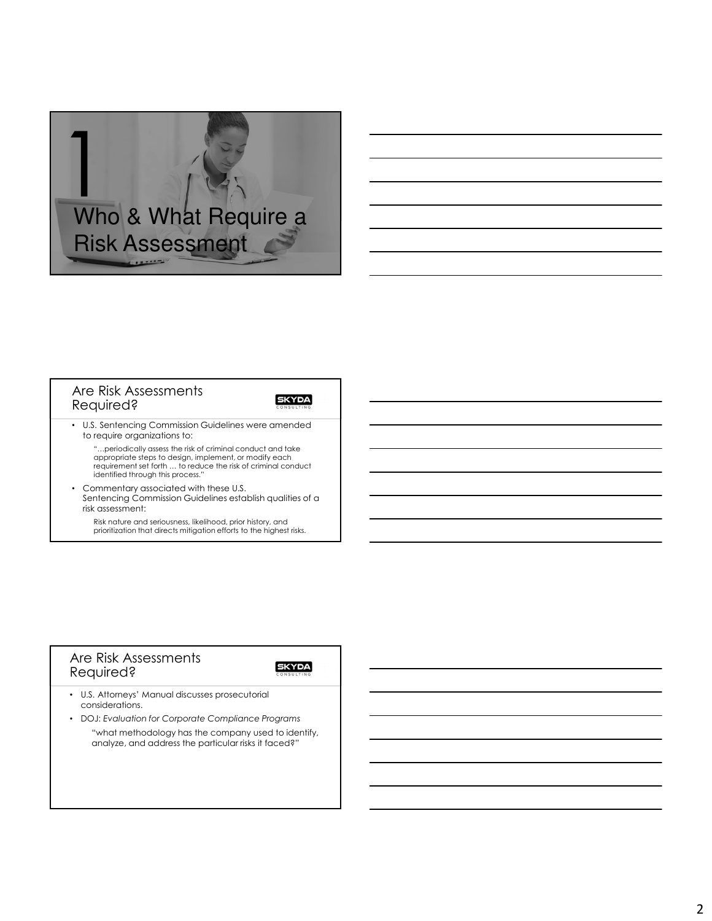

## Are Risk Assessments Required?

**SKYDA** 

• U.S. Sentencing Commission Guidelines were amended to require organizations to:

"…periodically assess the risk of criminal conduct and take appropriate steps to design, implement, or modify each requirement set forth … to reduce the risk of criminal conduct identified through this process."

• Commentary associated with these U.S. Sentencing Commission Guidelines establish qualities of a risk assessment:

Risk nature and seriousness, likelihood, prior history, and prioritization that directs mitigation efforts to the highest risks.

## Are Risk Assessments Required?

- U.S. Attorneys' Manual discusses prosecutorial considerations.
- DOJ: *Evaluation for Corporate Compliance Programs* "what methodology has the company used to identify, analyze, and address the particular risks it faced?"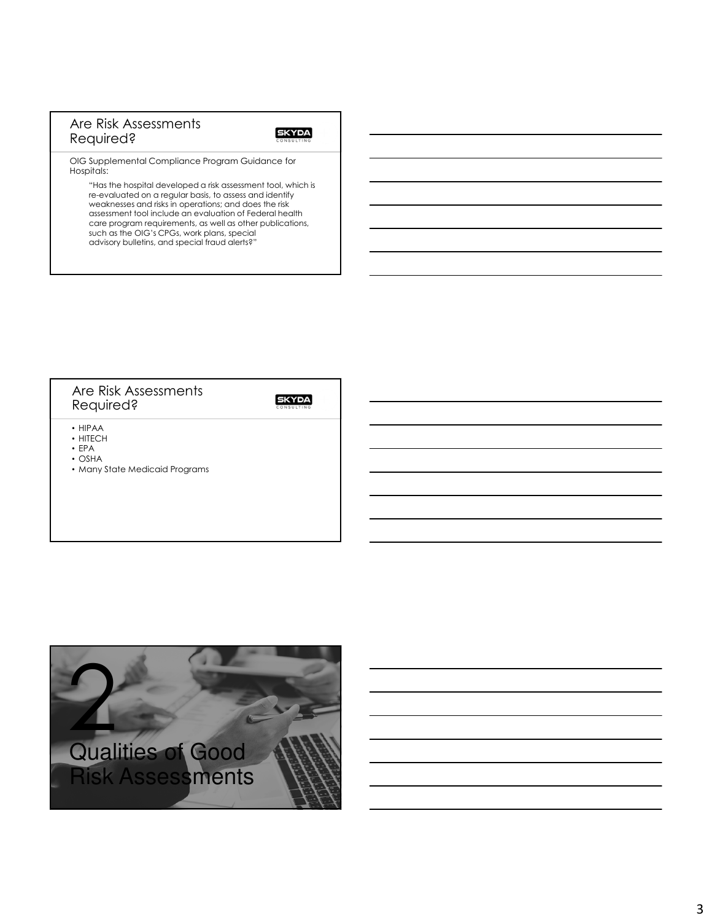## Are Risk Assessments Required?

### **SKYDA**

OIG Supplemental Compliance Program Guidance for Hospitals:

"Has the hospital developed a risk assessment tool, which is re-evaluated on a regular basis, to assess and identify weaknesses and risks in operations; and does the risk assessment tool include an evaluation of Federal health care program requirements, as well as other publications, such as the OIG's CPGs, work plans, special advisory bulletins, and special fraud alerts?"

## Are Risk Assessments Required?

- HIPAA
- HITECH • EPA
- OSHA
- Many State Medicaid Programs

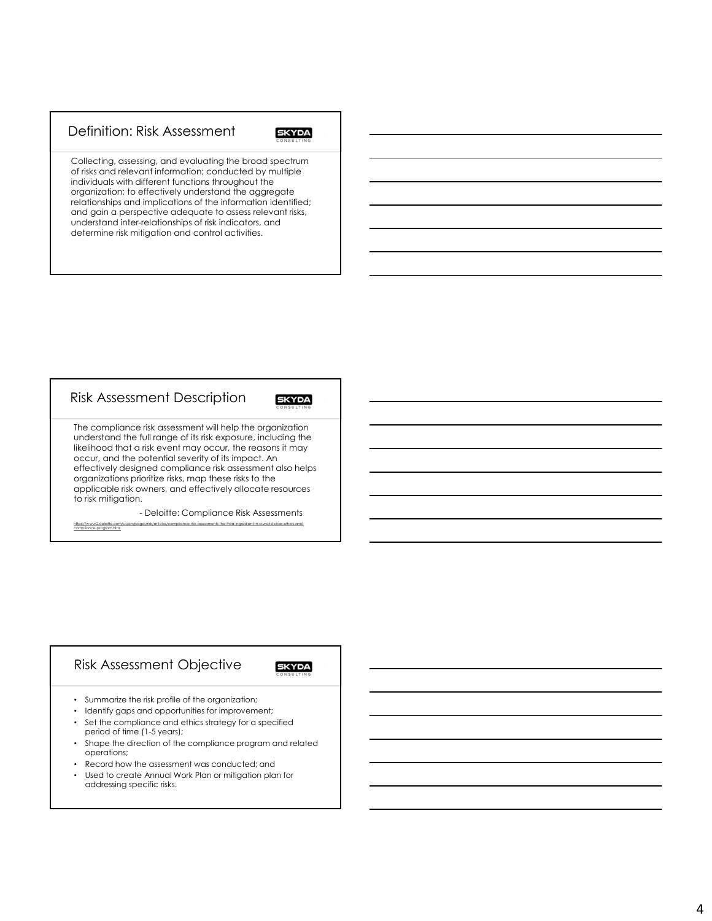## Definition: Risk Assessment

## **SKYDA**

Collecting, assessing, and evaluating the broad spectrum of risks and relevant information; conducted by multiple individuals with different functions throughout the organization; to effectively understand the aggregate relationships and implications of the information identified; and gain a perspective adequate to assess relevant risks, understand inter-relationships of risk indicators, and determine risk mitigation and control activities.

#### Risk Assessment Description **SKYDA** The compliance risk assessment will help the organization understand the full range of its risk exposure, including the likelihood that a risk event may occur, the reasons it may occur, and the potential severity of its impact. An effectively designed compliance risk assessment also helps organizations prioritize risks, map these risks to the applicable risk owners, and effectively allocate resources to risk mitigation.

- Deloitte: Compliance Risk Assessments https://www2.deloitte.com/us/en/pages/risk/articles/compliance-risk-assessments-the-third-ingredient-in-a-world-class-ethics-and-

## Risk Assessment Objective

compliance-program.html

- Summarize the risk profile of the organization;
- Identify gaps and opportunities for improvement;
- Set the compliance and ethics strategy for a specified period of time (1-5 years);
- Shape the direction of the compliance program and related operations;
- Record how the assessment was conducted; and
- Used to create Annual Work Plan or mitigation plan for addressing specific risks.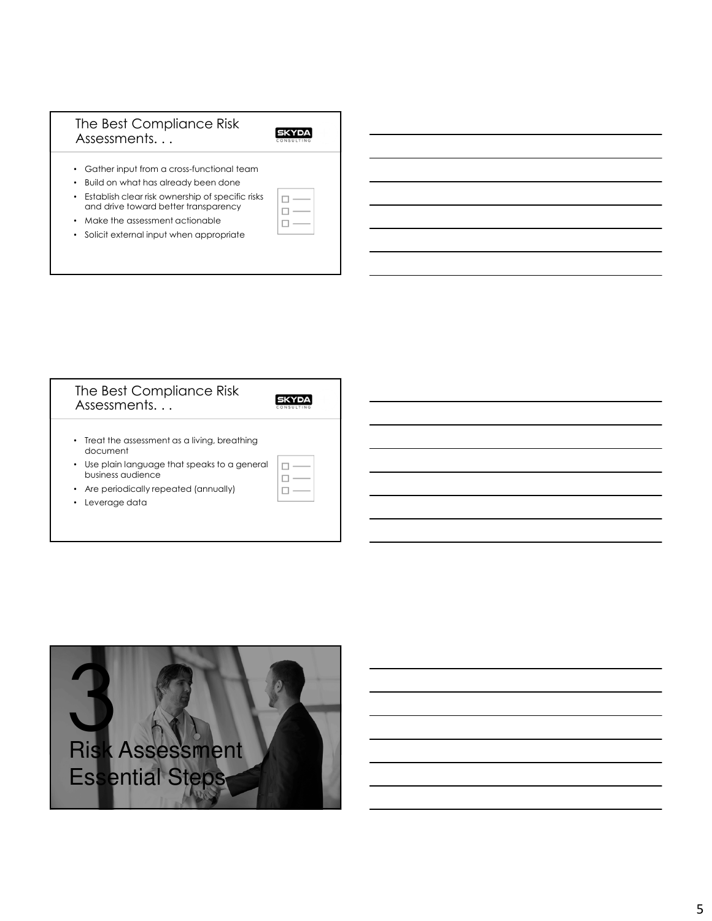## The Best Compliance Risk Assessments. . .

### **SKYDA**

 $\Box \longrightarrow$  $\square$   $\Box$ 

- Gather input from a cross-functional team
- Build on what has already been done
- Establish clear risk ownership of specific risks and drive toward better transparency
- Make the assessment actionable
- Solicit external input when appropriate

| The Best Compliance Risk<br>Assessments                                                                                                                                                  |  |
|------------------------------------------------------------------------------------------------------------------------------------------------------------------------------------------|--|
| • Treat the assessment as a living, breathing<br>document<br>• Use plain language that speaks to a general<br>business audience<br>Are periodically repeated (annually)<br>Leverage data |  |

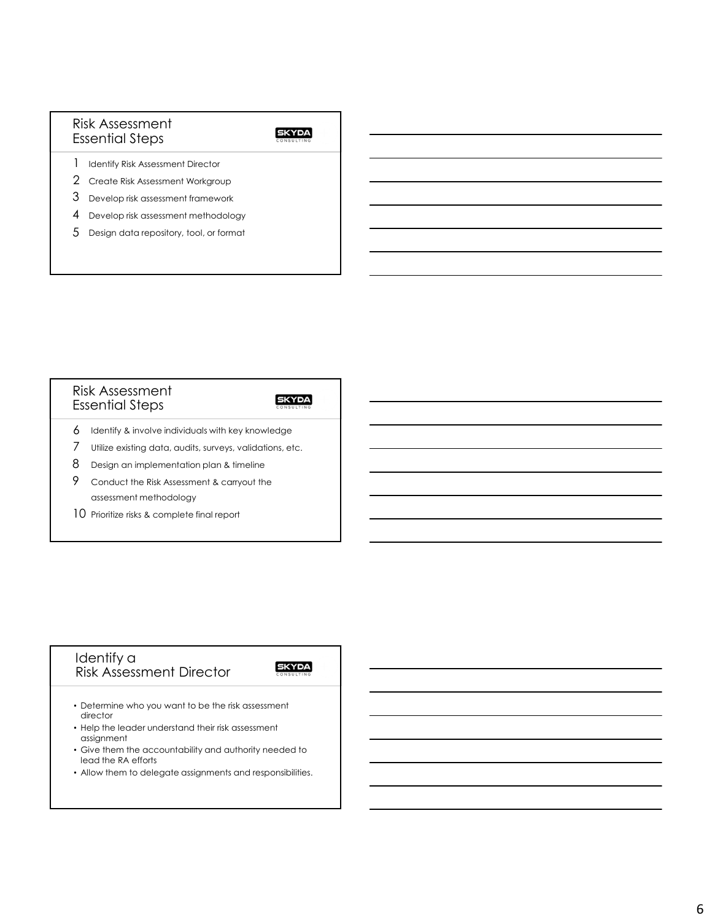## Risk Assessment Essential Steps

## **SKYDA**

- 1 Identify Risk Assessment Director
- Create Risk Assessment Workgroup 2
- Develop risk assessment framework 3
- 4 Develop risk assessment methodology
- $5$  Design data repository, tool, or format

### Risk Assessment Essential Steps

### **SKYDA**

- $6$  Identify & involve individuals with key knowledge
- Utilize existing data, audits, surveys, validations, etc. 7
- $8$  Design an implementation plan & timeline
- Conduct the Risk Assessment & carryout the assessment methodology 9
- 10 Prioritize risks & complete final report

### Identify a Risk Assessment Director

- Determine who you want to be the risk assessment director
- Help the leader understand their risk assessment assignment
- Give them the accountability and authority needed to lead the RA efforts
- Allow them to delegate assignments and responsibilities.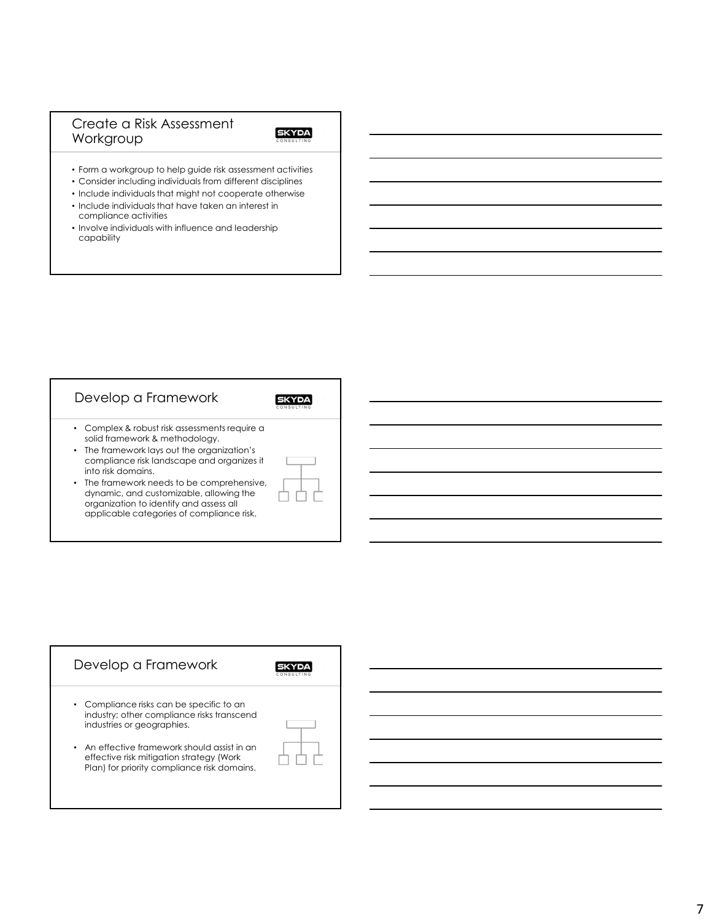## Create a Risk Assessment Workgroup

- Form a workgroup to help guide risk assessment activities
- Consider including individuals from different disciplines
- Include individuals that might not cooperate otherwise • Include individuals that have taken an interest in compliance activities
- Involve individuals with influence and leadership capability

| Develop a Framework                                                                                                                                                                                |  |
|----------------------------------------------------------------------------------------------------------------------------------------------------------------------------------------------------|--|
| • Complex & robust risk assessments require a<br>solid framework & methodology.<br>• The framework lays out the organization's<br>compliance risk landscape and organizes it<br>into risk domains. |  |
| • The framework needs to be comprehensive,<br>dynamic, and customizable, allowing the<br>organization to identify and assess all<br>applicable categories of compliance risk.                      |  |

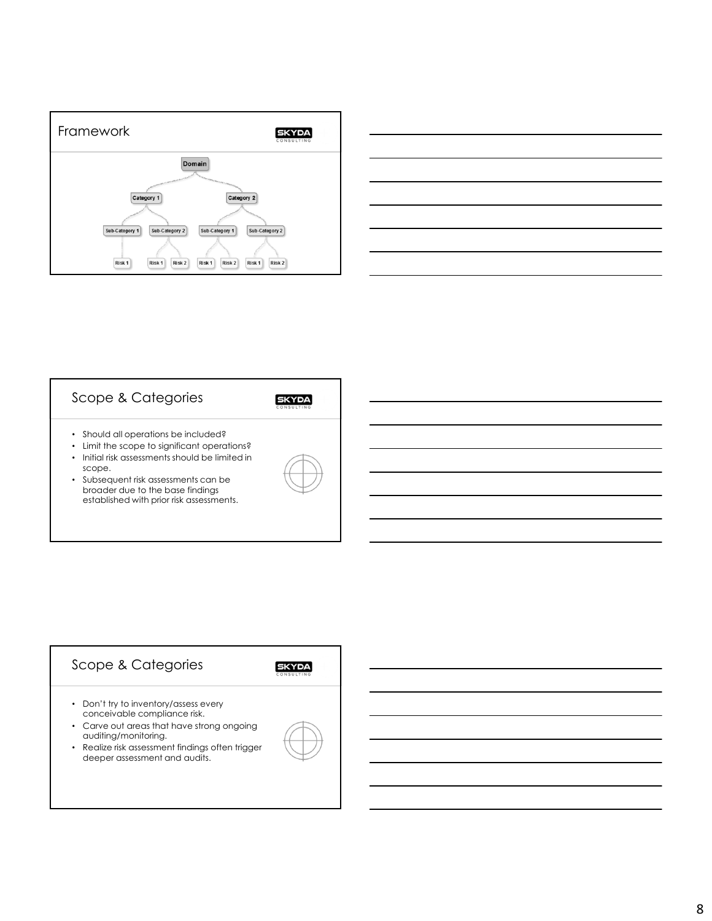

| ,我们也不会有什么?""我们的人,我们也不会有什么?""我们的人,我们也不会有什么?""我们的人,我们也不会有什么?""我们的人,我们也不会有什么?""我们的人 |  |
|----------------------------------------------------------------------------------|--|
|                                                                                  |  |
|                                                                                  |  |
|                                                                                  |  |
|                                                                                  |  |
|                                                                                  |  |

# Scope & Categories

- Should all operations be included?
- Limit the scope to significant operations?
- Initial risk assessments should be limited in
- scope. • Subsequent risk assessments can be broader due to the base findings established with prior risk assessments.



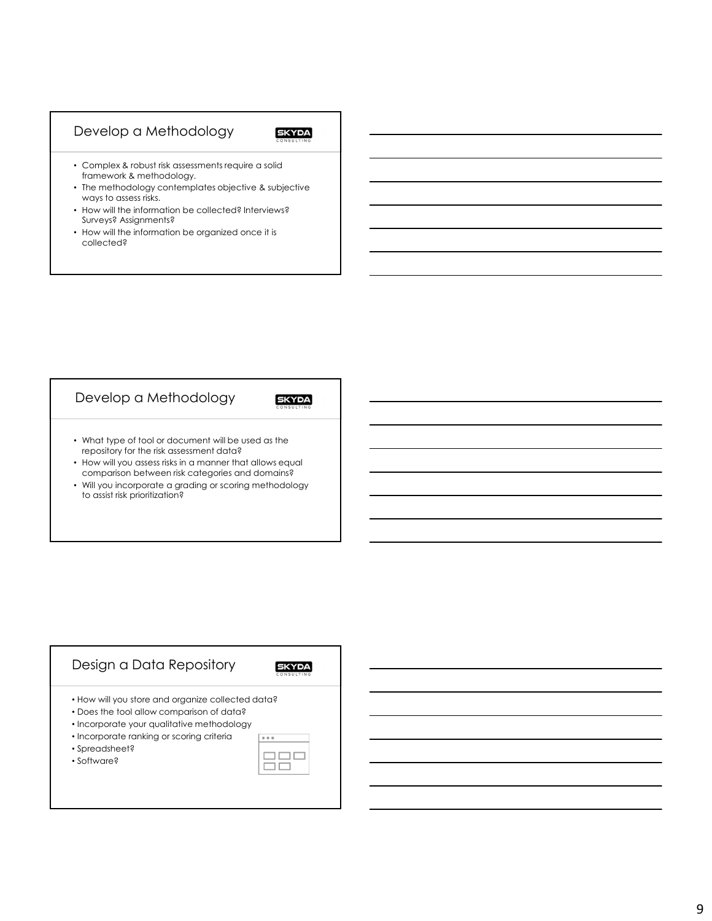## Develop a Methodology

## **SKYDA**

- Complex & robust risk assessments require a solid framework & methodology.
- The methodology contemplates objective & subjective ways to assess risks.
- How will the information be collected? Interviews? Surveys? Assignments?
- How will the information be organized once it is collected?

## Develop a Methodology

**SKYDA** 

- What type of tool or document will be used as the repository for the risk assessment data?
- How will you assess risks in a manner that allows equal comparison between risk categories and domains?
- Will you incorporate a grading or scoring methodology to assist risk prioritization?

### Design a Data Repository **SKYDA** • How will you store and organize collected data? • Does the tool allow comparison of data? • Incorporate your qualitative methodology • Incorporate ranking or scoring criteria  $\begin{array}{ccccc}\bullet & \bullet & \bullet\end{array}$ • Spreadsheet?  $\Box \Box \Box$ • Software?ōō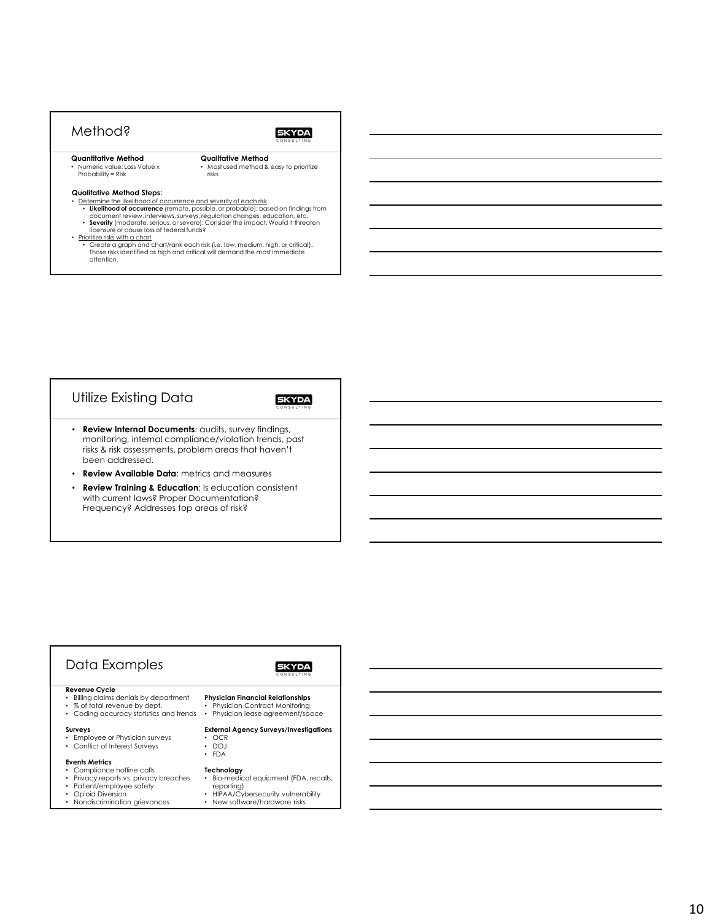## Method?

### **SKYDA**

**Quantitative Method** • Numeric value: Loss Value x Probability = Risk

**Qualitative Method** • Most used method & easy to prioritize risks

#### **Qualitative Method Steps:**

- Determine the likelihood of occurrence and severity of each risk
	- Likelihood of occurrence (remote, possible, or probable): based on findings from<br>document review, interviews, surveys, regulation changes, education, etc.<br>• Severity (moderate, serious, or severe): Consider the impact. W
	- licensure or cause loss of federal funds?
- 
- Prioritize risks with a chart Create a graph and chart/rank each risk (i.e. low, medium, high, or critical). Those risks identified as high and critical will demand the most immediate attention.

## Utilize Existing Data

### **SKYDA**

- **Review Internal Documents**: audits, survey findings, monitoring, internal compliance/violation trends, past risks & risk assessments, problem areas that haven't been addressed.
- **Review Available Data**: metrics and measures
- **Review Training & Education**: Is education consistent with current laws? Proper Documentation? Frequency? Addresses top areas of risk?

#### Data Examples **SKYDA Revenue Cycle** • Billing claims denials by department **Physician Financial Relationships** • % of total revenue by dept. • Physician Contract Monitoring • Physician lease agreement/space • Coding accuracy statistics and trends **Surveys External Agency Surveys/Investigations** • Employee or Physician surveys • OCR • DOJ • Conflict of Interest Surveys • FDA **Events Metrics** Compliance hotline calls **Technology** • Bio-medical equipment (FDA, recalls, • Privacy reports vs. privacy breaches • Patient/employee safety reporting) • HIPAA/Cybersecurity vulnerability • Opioid Diversion • Nondiscrimination grievances • New software/hardware risks

## 10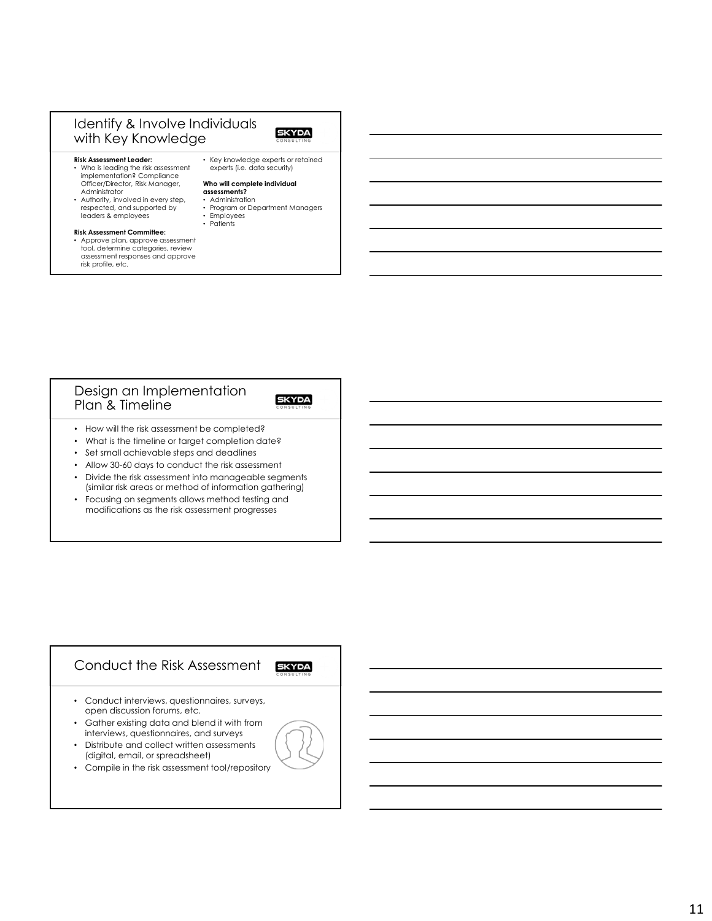## Identify & Involve Individuals with Key Knowledge

## **SKYDA**

#### **Risk Assessment Leader:**

- Who is leading the risk assessment implementation? Compliance Officer/Director, Risk Manager, Administrator • Authority, involved in every step,
- respected, and supported by leaders & employees

#### **Risk Assessment Committee:**

- Approve plan, approve assessment tool, determine categories, review assessment responses and approve risk profile, etc.
- Key knowledge experts or retained experts (i.e. data security)

#### **Who will complete individual assessments?**

- Administration
	- Program or Department Managers
	- Employees Patients
- 

### Design an Implementation Plan & Timeline

## **SKYDA**

- How will the risk assessment be completed?
- What is the timeline or target completion date?
- Set small achievable steps and deadlines
- Allow 30-60 days to conduct the risk assessment
- Divide the risk assessment into manageable segments (similar risk areas or method of information gathering)
- Focusing on segments allows method testing and modifications as the risk assessment progresses

## Conduct the Risk Assessment **SKYDA**

- Conduct interviews, questionnaires, surveys, open discussion forums, etc.
- Gather existing data and blend it with from interviews, questionnaires, and surveys
- Distribute and collect written assessments (digital, email, or spreadsheet)
- Compile in the risk assessment tool/repository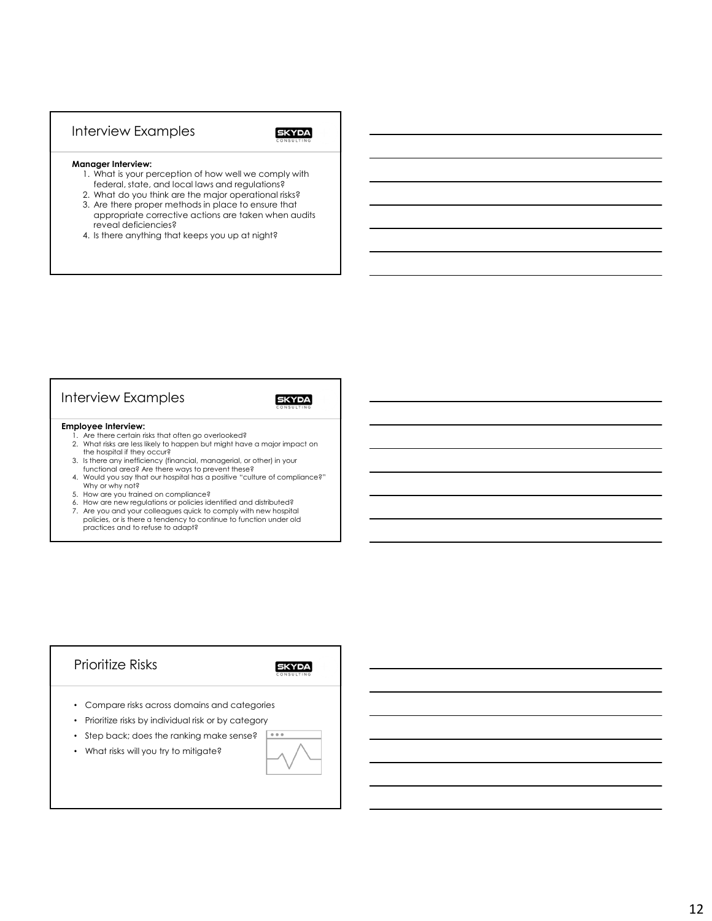## Interview Examples

### **SKYDA**

#### **Manager Interview:**

- 1. What is your perception of how well we comply with federal, state, and local laws and regulations?
- 2. What do you think are the major operational risks?
- 3. Are there proper methods in place to ensure that appropriate corrective actions are taken when audits reveal deficiencies?
- 4. Is there anything that keeps you up at night?

## Interview Examples

## **SKYDA**

#### **Employee Interview:**

- 1. Are there certain risks that often go overlooked? 2. What risks are less likely to happen but might have a major impact on
- the hospital if they occur? 3. Is there any inefficiency (financial, managerial, or other) in your
- functional area? Are there ways to prevent these? 4. Would you say that our hospital has a positive "culture of compliance?" Why or why not?
- 5. How are you trained on compliance?
- 6. How are new regulations or policies identified and distributed?
- 7. Are you and your colleagues quick to comply with new hospital policies, or is there a tendency to continue to function under old practices and to refuse to adapt?

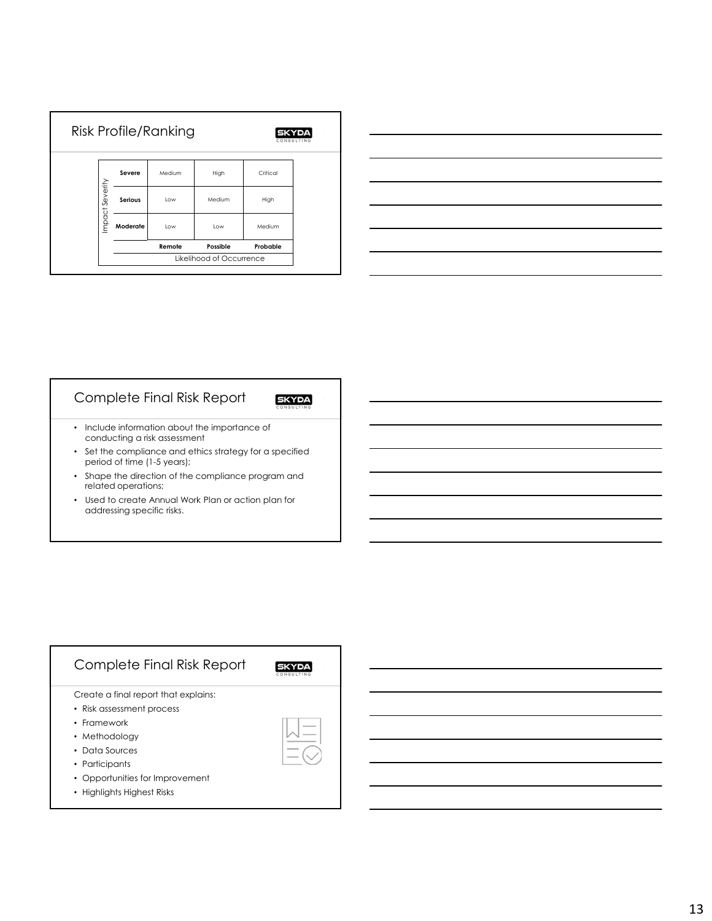|                 |          | <b>Risk Profile/Ranking</b> |                          | <b>SKYDA</b><br>CONSULTING |
|-----------------|----------|-----------------------------|--------------------------|----------------------------|
|                 | Severe   | Medium                      | High                     | Critical                   |
| Impact Severity | Serious  | Low                         | Medium                   | High                       |
|                 | Moderate | Low                         | Low                      | Medium                     |
|                 |          | Remote                      | Possible                 | Probable                   |
|                 |          |                             | Likelihood of Occurrence |                            |

| <u> Andreas Andreas Andreas Andreas Andreas Andreas Andreas Andreas Andreas Andreas Andreas Andreas Andreas Andreas Andreas Andreas Andreas Andreas Andreas Andreas Andreas Andreas Andreas Andreas Andreas Andreas Andreas Andr</u> |  |  |
|--------------------------------------------------------------------------------------------------------------------------------------------------------------------------------------------------------------------------------------|--|--|
|                                                                                                                                                                                                                                      |  |  |
|                                                                                                                                                                                                                                      |  |  |

## Complete Final Risk Report

- Include information about the importance of conducting a risk assessment
- Set the compliance and ethics strategy for a specified period of time (1-5 years);
- Shape the direction of the compliance program and related operations;
- Used to create Annual Work Plan or action plan for addressing specific risks.

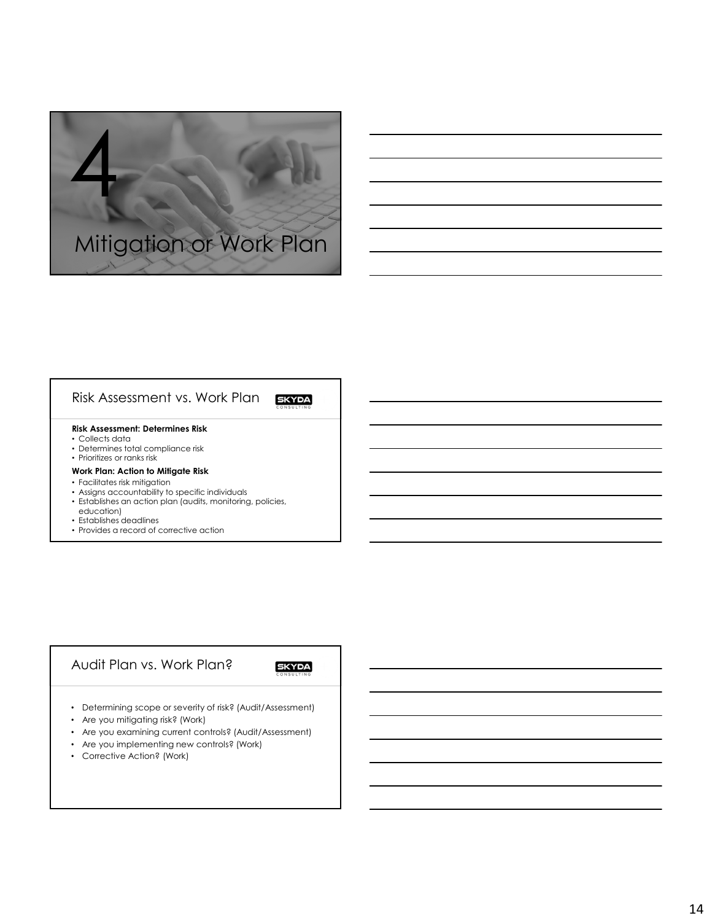

## Risk Assessment vs. Work Plan

### **Risk Assessment: Determines Risk**

- Collects data
- Determines total compliance risk • Prioritizes or ranks risk

#### **Work Plan: Action to Mitigate Risk**

- Facilitates risk mitigation
- Assigns accountability to specific individuals
- Establishes an action plan (audits, monitoring, policies, education)
- Establishes deadlines
- Provides a record of corrective action

## Audit Plan vs. Work Plan?

**SKYDA** 

- Determining scope or severity of risk? (Audit/Assessment)
- Are you mitigating risk? (Work)
- Are you examining current controls? (Audit/Assessment)
- Are you implementing new controls? (Work)
- Corrective Action? (Work)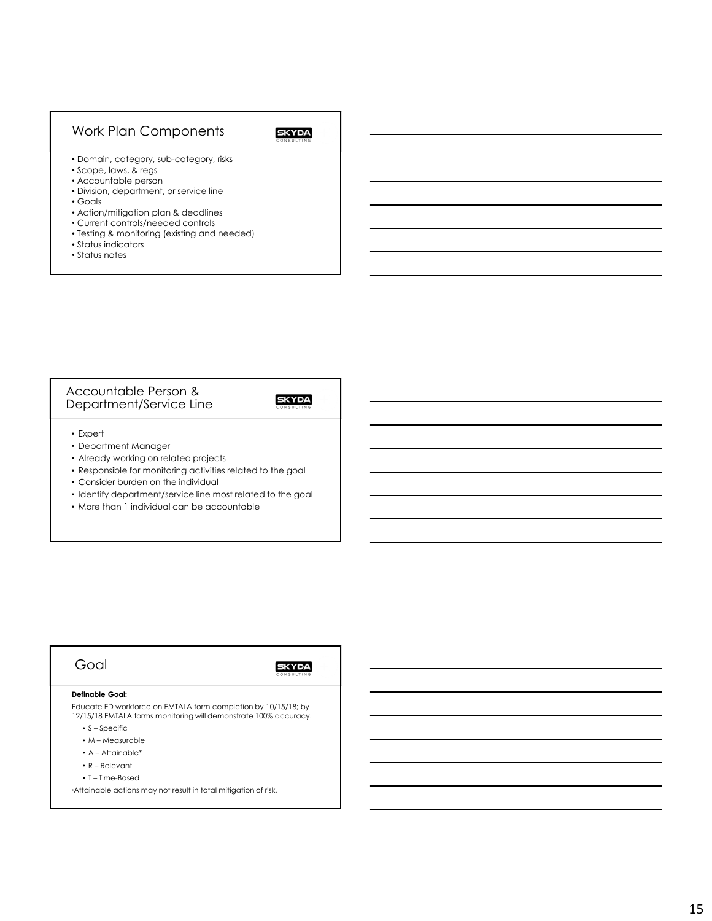## Work Plan Components

## **SKYDA**

- Domain, category, sub-category, risks
- Scope, laws, & regs
- Accountable person
- Division, department, or service line
- Goals
- Action/mitigation plan & deadlines
- Current controls/needed controls
- Testing & monitoring (existing and needed)
- Status indicators
- Status notes

### Accountable Person & Department/Service Line

## **SKYDA**

- Expert
- Department Manager
- Already working on related projects
- Responsible for monitoring activities related to the goal
- Consider burden on the individual
- Identify department/service line most related to the goal
- More than 1 individual can be accountable

## Goal

### **SKYDA**

#### **Definable Goal:**

Educate ED workforce on EMTALA form completion by 10/15/18; by 12/15/18 EMTALA forms monitoring will demonstrate 100% accuracy.

- S Specific
- M Measurable
- A Attainable\*
- R Relevant
- T Time-Based

\*Attainable actions may not result in total mitigation of risk.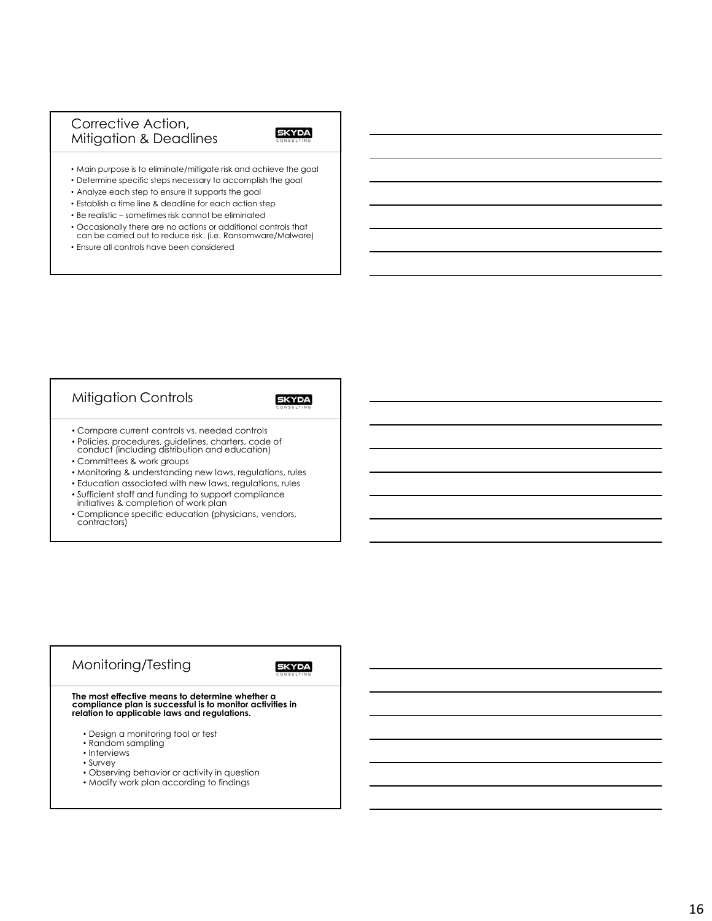## Corrective Action, Mitigation & Deadlines

### **SKYDA**

• Main purpose is to eliminate/mitigate risk and achieve the goal

- Determine specific steps necessary to accomplish the goal
- Analyze each step to ensure it supports the goal
- Establish a time line & deadline for each action step
- Be realistic sometimes risk cannot be eliminated
- Occasionally there are no actions or additional controls that can be carried out to reduce risk. (i.e. Ransomware/Malware)
- Ensure all controls have been considered

## Mitigation Controls

### **SKYDA**

- Compare current controls vs. needed controls
- Policies, procedures, guidelines, charters, code of conduct (including distribution and education)
- Committees & work groups
- Monitoring & understanding new laws, regulations, rules
- Education associated with new laws, regulations, rules
- Sufficient staff and funding to support compliance initiatives & completion of work plan
- 
- Compliance specific education (physicians, vendors, contractors)

## Monitoring/Testing **SKYDA The most effective means to determine whether a compliance plan is successful is to monitor activities in relation to applicable laws and regulations.**

- Design a monitoring tool or test
- Random sampling
- Interviews
- Survey
- Observing behavior or activity in question
- Modify work plan according to findings